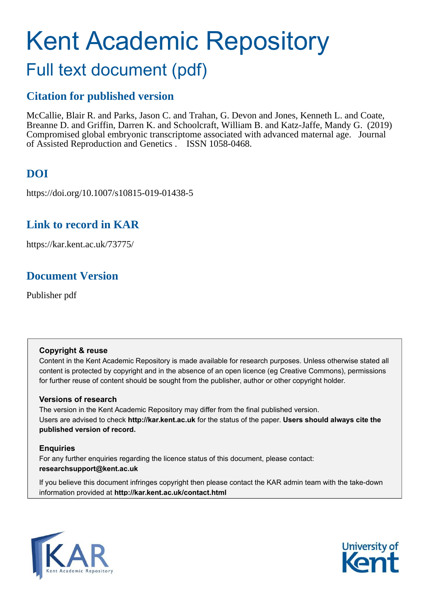# Kent Academic Repository Full text document (pdf)

## **Citation for published version**

McCallie, Blair R. and Parks, Jason C. and Trahan, G. Devon and Jones, Kenneth L. and Coate, Breanne D. and Griffin, Darren K. and Schoolcraft, William B. and Katz-Jaffe, Mandy G. (2019) Compromised global embryonic transcriptome associated with advanced maternal age. Journal of Assisted Reproduction and Genetics . ISSN 1058-0468.

## **DOI**

https://doi.org/10.1007/s10815-019-01438-5

## **Link to record in KAR**

https://kar.kent.ac.uk/73775/

## **Document Version**

Publisher pdf

#### **Copyright & reuse**

Content in the Kent Academic Repository is made available for research purposes. Unless otherwise stated all content is protected by copyright and in the absence of an open licence (eg Creative Commons), permissions for further reuse of content should be sought from the publisher, author or other copyright holder.

#### **Versions of research**

The version in the Kent Academic Repository may differ from the final published version. Users are advised to check **http://kar.kent.ac.uk** for the status of the paper. **Users should always cite the published version of record.**

#### **Enquiries**

For any further enquiries regarding the licence status of this document, please contact: **researchsupport@kent.ac.uk**

If you believe this document infringes copyright then please contact the KAR admin team with the take-down information provided at **http://kar.kent.ac.uk/contact.html**



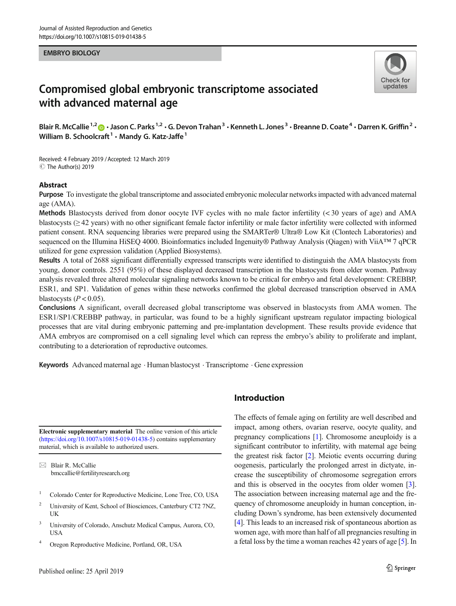#### EMBRYO BIOLOGY



### Compromised global embryonic transcriptome associated with advanced maternal age

Blair R. McCallie <sup>1,2</sup> n · Jason C. Parks <sup>1,2</sup> · G. Devon Trahan <sup>3</sup> · Kenneth L. Jones <sup>3</sup> · Breanne D. Coate <sup>4</sup> · Darren K. Griffin <sup>2</sup> · William B. Schoolcraft  $^1$   $\cdot$  Mandy G. Katz-Jaffe  $^1$ 

Received: 4 February 2019 /Accepted: 12 March 2019 C The Author(s) 2019

#### Abstract

Purpose To investigate the global transcriptome and associated embryonic molecular networks impacted with advanced maternal age (AMA).

Methods Blastocysts derived from donor oocyte IVF cycles with no male factor infertility (< 30 years of age) and AMA blastocysts (≥ 42 years) with no other significant female factor infertility or male factor infertility were collected with informed patient consent. RNA sequencing libraries were prepared using the SMARTer® Ultra® Low Kit (Clontech Laboratories) and sequenced on the Illumina HiSEQ 4000. Bioinformatics included Ingenuity® Pathway Analysis (Qiagen) with ViiA™ 7 qPCR utilized for gene expression validation (Applied Biosystems).

Results A total of 2688 significant differentially expressed transcripts were identified to distinguish the AMA blastocysts from young, donor controls. 2551 (95%) of these displayed decreased transcription in the blastocysts from older women. Pathway analysis revealed three altered molecular signaling networks known to be critical for embryo and fetal development: CREBBP, ESR1, and SP1. Validation of genes within these networks confirmed the global decreased transcription observed in AMA blastocysts  $(P < 0.05)$ .

Conclusions A significant, overall decreased global transcriptome was observed in blastocysts from AMA women. The ESR1/SP1/CREBBP pathway, in particular, was found to be a highly significant upstream regulator impacting biological processes that are vital during embryonic patterning and pre-implantation development. These results provide evidence that AMA embryos are compromised on a cell signaling level which can repress the embryo's ability to proliferate and implant, contributing to a deterioration of reproductive outcomes.

Keywords Advanced maternal age . Human blastocyst . Transcriptome . Gene expression

Electronic supplementary material The online version of this article ([https://doi.org/10.1007/s10815-019-01438-5\)](https://doi.org/10.1007/s10815-019-01438-5) contains supplementary material, which is available to authorized users.

 $\boxtimes$  Blair R. McCallie [bmccallie@fertilityresearch.org](mailto:bmccallie@fertilityresearch.org)

- <sup>1</sup> Colorado Center for Reproductive Medicine, Lone Tree, CO, USA
- <sup>2</sup> University of Kent, School of Biosciences, Canterbury CT2 7NZ, UK
- <sup>3</sup> University of Colorado, Anschutz Medical Campus, Aurora, CO, **USA**
- <sup>4</sup> Oregon Reproductive Medicine, Portland, OR, USA

#### Introduction

The effects of female aging on fertility are well described and impact, among others, ovarian reserve, oocyte quality, and pregnancy complications [[1\]](#page-7-0). Chromosome aneuploidy is a significant contributor to infertility, with maternal age being the greatest risk factor [\[2](#page-7-0)]. Meiotic events occurring during oogenesis, particularly the prolonged arrest in dictyate, increase the susceptibility of chromosome segregation errors and this is observed in the oocytes from older women [[3\]](#page-7-0). The association between increasing maternal age and the frequency of chromosome aneuploidy in human conception, including Down's syndrome, has been extensively documented [\[4](#page-7-0)]. This leads to an increased risk of spontaneous abortion as women age, with more than half of all pregnancies resulting in a fetal loss by the time a woman reaches 42 years of age [[5\]](#page-7-0). In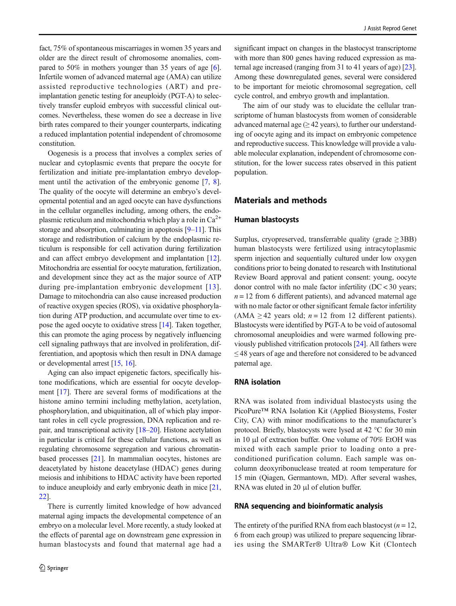fact, 75% of spontaneous miscarriages in women 35 years and older are the direct result of chromosome anomalies, compared to 50% in mothers younger than 35 years of age [[6\]](#page-7-0). Infertile women of advanced maternal age (AMA) can utilize assisted reproductive technologies (ART) and preimplantation genetic testing for aneuploidy (PGT-A) to selectively transfer euploid embryos with successful clinical outcomes. Nevertheless, these women do see a decrease in live birth rates compared to their younger counterparts, indicating a reduced implantation potential independent of chromosome constitution.

Oogenesis is a process that involves a complex series of nuclear and cytoplasmic events that prepare the oocyte for fertilization and initiate pre-implantation embryo development until the activation of the embryonic genome [\[7](#page-8-0), [8](#page-8-0)]. The quality of the oocyte will determine an embryo's developmental potential and an aged oocyte can have dysfunctions in the cellular organelles including, among others, the endoplasmic reticulum and mitochondria which play a role in  $Ca^{2+}$ storage and absorption, culminating in apoptosis [[9](#page-8-0)–[11\]](#page-8-0). This storage and redistribution of calcium by the endoplasmic reticulum is responsible for cell activation during fertilization and can affect embryo development and implantation [[12](#page-8-0)]. Mitochondria are essential for oocyte maturation, fertilization, and development since they act as the major source of ATP during pre-implantation embryonic development [[13\]](#page-8-0). Damage to mitochondria can also cause increased production of reactive oxygen species (ROS), via oxidative phosphorylation during ATP production, and accumulate over time to expose the aged oocyte to oxidative stress [\[14\]](#page-8-0). Taken together, this can promote the aging process by negatively influencing cell signaling pathways that are involved in proliferation, differentiation, and apoptosis which then result in DNA damage or developmental arrest [\[15](#page-8-0), [16\]](#page-8-0).

Aging can also impact epigenetic factors, specifically histone modifications, which are essential for oocyte development [[17](#page-8-0)]. There are several forms of modifications at the histone amino termini including methylation, acetylation, phosphorylation, and ubiquitination, all of which play important roles in cell cycle progression, DNA replication and repair, and transcriptional activity [\[18](#page-8-0)–[20](#page-8-0)]. Histone acetylation in particular is critical for these cellular functions, as well as regulating chromosome segregation and various chromatinbased processes [\[21](#page-8-0)]. In mammalian oocytes, histones are deacetylated by histone deacetylase (HDAC) genes during meiosis and inhibitions to HDAC activity have been reported to induce aneuploidy and early embryonic death in mice [[21,](#page-8-0) [22\]](#page-8-0).

There is currently limited knowledge of how advanced maternal aging impacts the developmental competence of an embryo on a molecular level. More recently, a study looked at the effects of parental age on downstream gene expression in human blastocysts and found that maternal age had a significant impact on changes in the blastocyst transcriptome with more than 800 genes having reduced expression as maternal age increased (ranging from 31 to 41 years of age) [[23\]](#page-8-0). Among these downregulated genes, several were considered to be important for meiotic chromosomal segregation, cell cycle control, and embryo growth and implantation.

The aim of our study was to elucidate the cellular transcriptome of human blastocysts from women of considerable advanced maternal age  $(\geq 42 \text{ years})$ , to further our understanding of oocyte aging and its impact on embryonic competence and reproductive success. This knowledge will provide a valuable molecular explanation, independent of chromosome constitution, for the lower success rates observed in this patient population.

#### Materials and methods

#### Human blastocysts

Surplus, cryopreserved, transferrable quality (grade  $\geq$  3BB) human blastocysts were fertilized using intracytoplasmic sperm injection and sequentially cultured under low oxygen conditions prior to being donated to research with Institutional Review Board approval and patient consent: young, oocyte donor control with no male factor infertility (DC < 30 years;  $n = 12$  from 6 different patients), and advanced maternal age with no male factor or other significant female factor infertility (AMA  $\geq$  42 years old; *n* = 12 from 12 different patients). Blastocysts were identified by PGT-A to be void of autosomal chromosomal aneuploidies and were warmed following previously published vitrification protocols [\[24](#page-8-0)]. All fathers were ≤ 48 years of age and therefore not considered to be advanced paternal age.

#### RNA isolation

RNA was isolated from individual blastocysts using the PicoPure™ RNA Isolation Kit (Applied Biosystems, Foster City, CA) with minor modifications to the manufacturer's protocol. Briefly, blastocysts were lysed at 42 °C for 30 min in 10 μl of extraction buffer. One volume of 70% EtOH was mixed with each sample prior to loading onto a preconditioned purification column. Each sample was oncolumn deoxyribonuclease treated at room temperature for 15 min (Qiagen, Germantown, MD). After several washes, RNA was eluted in 20 μl of elution buffer.

#### RNA sequencing and bioinformatic analysis

The entirety of the purified RNA from each blastocyst ( $n = 12$ , 6 from each group) was utilized to prepare sequencing libraries using the SMARTer® Ultra® Low Kit (Clontech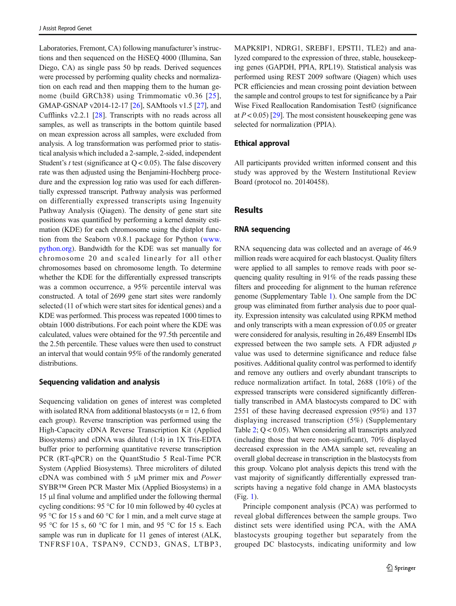<span id="page-3-0"></span>Laboratories, Fremont, CA) following manufacturer's instructions and then sequenced on the HiSEQ 4000 (Illumina, San Diego, CA) as single pass 50 bp reads. Derived sequences were processed by performing quality checks and normalization on each read and then mapping them to the human genome (build GRCh38) using Trimmomatic v0.36 [[25](#page-8-0)], GMAP-GSNAP v2014-12-17 [\[26](#page-8-0)], SAMtools v1.5 [\[27\]](#page-8-0), and Cufflinks v2.2.1 [[28\]](#page-8-0). Transcripts with no reads across all samples, as well as transcripts in the bottom quintile based on mean expression across all samples, were excluded from analysis. A log transformation was performed prior to statistical analysis which included a 2-sample, 2-sided, independent Student's  $t$  test (significance at  $Q < 0.05$ ). The false discovery rate was then adjusted using the Benjamini-Hochberg procedure and the expression log ratio was used for each differentially expressed transcript. Pathway analysis was performed on differentially expressed transcripts using Ingenuity Pathway Analysis (Qiagen). The density of gene start site positions was quantified by performing a kernel density estimation (KDE) for each chromosome using the distplot function from the Seaborn v0.8.1 package for Python [\(www.](http://www.python.org) [python.org\)](http://www.python.org). Bandwidth for the KDE was set manually for chromosome 20 and scaled linearly for all other chromosomes based on chromosome length. To determine whether the KDE for the differentially expressed transcripts was a common occurrence, a 95% percentile interval was constructed. A total of 2699 gene start sites were randomly selected (11 of which were start sites for identical genes) and a KDE was performed. This process was repeated 1000 times to obtain 1000 distributions. For each point where the KDE was calculated, values were obtained for the 97.5th percentile and the 2.5th percentile. These values were then used to construct an interval that would contain 95% of the randomly generated distributions.

#### Sequencing validation and analysis

Sequencing validation on genes of interest was completed with isolated RNA from additional blastocysts ( $n = 12$ , 6 from each group). Reverse transcription was performed using the High-Capacity cDNA Reverse Transcription Kit (Applied Biosystems) and cDNA was diluted (1:4) in 1X Tris-EDTA buffer prior to performing quantitative reverse transcription PCR (RT-qPCR) on the QuantStudio 5 Real-Time PCR System (Applied Biosystems). Three microliters of diluted cDNA was combined with 5 μM primer mix and Power SYBR™ Green PCR Master Mix (Applied Biosystems) in a 15 μl final volume and amplified under the following thermal cycling conditions: 95 °C for 10 min followed by 40 cycles at 95 °C for 15 s and 60 °C for 1 min, and a melt curve stage at 95 °C for 15 s, 60 °C for 1 min, and 95 °C for 15 s. Each sample was run in duplicate for 11 genes of interest (ALK, TNFRSF10A, TSPAN9, CCND3, GNAS, LTBP3, MAPK8IP1, NDRG1, SREBF1, EPSTI1, TLE2) and analyzed compared to the expression of three, stable, housekeeping genes (GAPDH, PPIA, RPL19). Statistical analysis was performed using REST 2009 software (Qiagen) which uses PCR efficiencies and mean crossing point deviation between the sample and control groups to test for significance by a Pair Wise Fixed Reallocation Randomisation Test© (significance at  $P < 0.05$  [\[29\]](#page-8-0). The most consistent house keeping gene was selected for normalization (PPIA).

#### Ethical approval

All participants provided written informed consent and this study was approved by the Western Institutional Review Board (protocol no. 20140458).

#### Results

#### RNA sequencing

RNA sequencing data was collected and an average of 46.9 million reads were acquired for each blastocyst. Quality filters were applied to all samples to remove reads with poor sequencing quality resulting in 91% of the reads passing these filters and proceeding for alignment to the human reference genome (Supplementary Table 1). One sample from the DC group was eliminated from further analysis due to poor quality. Expression intensity was calculated using RPKM method and only transcripts with a mean expression of 0.05 or greater were considered for analysis, resulting in 26,489 Ensembl IDs expressed between the two sample sets. A FDR adjusted  $p$ value was used to determine significance and reduce false positives. Additional quality control was performed to identify and remove any outliers and overly abundant transcripts to reduce normalization artifact. In total, 2688 (10%) of the expressed transcripts were considered significantly differentially transcribed in AMA blastocysts compared to DC with 2551 of these having decreased expression (95%) and 137 displaying increased transcription (5%) (Supplementary Table 2; Q < 0.05). When considering all transcripts analyzed (including those that were non-significant), 70% displayed decreased expression in the AMA sample set, revealing an overall global decrease in transcription in the blastocysts from this group. Volcano plot analysis depicts this trend with the vast majority of significantly differentially expressed transcripts having a negative fold change in AMA blastocysts (Fig. 1).

Principle component analysis (PCA) was performed to reveal global differences between the sample groups. Two distinct sets were identified using PCA, with the AMA blastocysts grouping together but separately from the grouped DC blastocysts, indicating uniformity and low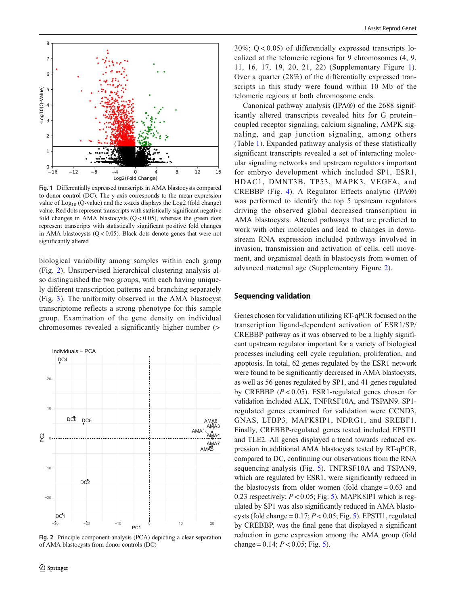

Fig. 1 Differentially expressed transcripts in AMA blastocysts compared to donor control (DC). The y-axis corresponds to the mean expression value of  $Log<sub>10</sub>$  (Q-value) and the x-axis displays the Log2 (fold change) value. Red dots represent transcripts with statistically significant negative fold changes in AMA blastocysts  $(Q < 0.05)$ , whereas the green dots represent transcripts with statistically significant positive fold changes in AMA blastocysts  $(Q < 0.05)$ . Black dots denote genes that were not significantly altered

biological variability among samples within each group (Fig. [2](#page-3-0)). Unsupervised hierarchical clustering analysis also distinguished the two groups, with each having uniquely different transcription patterns and branching separately (Fig. 3). The uniformity observed in the AMA blastocyst transcriptome reflects a strong phenotype for this sample group. Examination of the gene density on individual chromosomes revealed a significantly higher number (>



Fig. 2 Principle component analysis (PCA) depicting a clear separation of AMA blastocysts from donor controls (DC)

 $30\%$ ;  $Q < 0.05$ ) of differentially expressed transcripts localized at the telomeric regions for 9 chromosomes (4, 9, 11, 16, 17, 19, 20, 21, 22) (Supplementary Figure 1). Over a quarter (28%) of the differentially expressed transcripts in this study were found within 10 Mb of the telomeric regions at both chromosome ends.

Canonical pathway analysis (IPA®) of the 2688 significantly altered transcripts revealed hits for G protein– coupled receptor signaling, calcium signaling, AMPK signaling, and gap junction signaling, among others (Table [1\)](#page-5-0). Expanded pathway analysis of these statistically significant transcripts revealed a set of interacting molecular signaling networks and upstream regulators important for embryo development which included SP1, ESR1, HDAC1, DMNT3B, TP53, MAPK3, VEGFA, and CREBBP (Fig. [4\)](#page-6-0). A Regulator Effects analytic (IPA®) was performed to identify the top 5 upstream regulators driving the observed global decreased transcription in AMA blastocysts. Altered pathways that are predicted to work with other molecules and lead to changes in downstream RNA expression included pathways involved in invasion, transmission and activation of cells, cell movement, and organismal death in blastocysts from women of advanced maternal age (Supplementary Figure 2).

#### Sequencing validation

Genes chosen for validation utilizing RT-qPCR focused on the transcription ligand-dependent activation of ESR1/SP/ CREBBP pathway as it was observed to be a highly significant upstream regulator important for a variety of biological processes including cell cycle regulation, proliferation, and apoptosis. In total, 62 genes regulated by the ESR1 network were found to be significantly decreased in AMA blastocysts, as well as 56 genes regulated by SP1, and 41 genes regulated by CREBBP  $(P < 0.05)$ . ESR1-regulated genes chosen for validation included ALK, TNFRSF10A, and TSPAN9. SP1 regulated genes examined for validation were CCND3, GNAS, LTBP3, MAPK8IP1, NDRG1, and SREBF1. Finally, CREBBP-regulated genes tested included EPSTI1 and TLE2. All genes displayed a trend towards reduced expression in additional AMA blastocysts tested by RT-qPCR, compared to DC, confirming our observations from the RNA sequencing analysis (Fig. [5\)](#page-6-0). TNFRSF10A and TSPAN9, which are regulated by ESR1, were significantly reduced in the blastocysts from older women (fold change = 0.63 and 0.23 respectively;  $P < 0.05$  $P < 0.05$ ; Fig. 5). MAPK8IP1 which is regulated by SP1 was also significantly reduced in AMA blastocysts (fold change =  $0.17$ ;  $P < 0.05$ ; Fig. [5\)](#page-6-0). EPSTI1, regulated by CREBBP, was the final gene that displayed a significant reduction in gene expression among the AMA group (fold change =  $0.14$ ;  $P < 0.05$  $P < 0.05$ ; Fig. 5).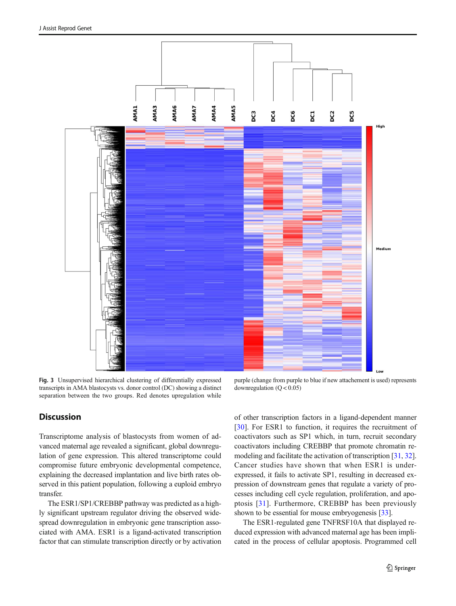<span id="page-5-0"></span>

Fig. 3 Unsupervised hierarchical clustering of differentially expressed transcripts in AMA blastocysts vs. donor control (DC) showing a distinct separation between the two groups. Red denotes upregulation while

purple (change from purple to blue if new attachement is used) represents downregulation  $(Q < 0.05)$ 

#### **Discussion**

Transcriptome analysis of blastocysts from women of advanced maternal age revealed a significant, global downregulation of gene expression. This altered transcriptome could compromise future embryonic developmental competence, explaining the decreased implantation and live birth rates observed in this patient population, following a euploid embryo transfer.

The ESR1/SP1/CREBBP pathway was predicted as a highly significant upstream regulator driving the observed widespread downregulation in embryonic gene transcription associated with AMA. ESR1 is a ligand-activated transcription factor that can stimulate transcription directly or by activation of other transcription factors in a ligand-dependent manner [\[30](#page-8-0)]. For ESR1 to function, it requires the recruitment of coactivators such as SP1 which, in turn, recruit secondary coactivators including CREBBP that promote chromatin remodeling and facilitate the activation of transcription [\[31](#page-8-0), [32\]](#page-8-0). Cancer studies have shown that when ESR1 is underexpressed, it fails to activate SP1, resulting in decreased expression of downstream genes that regulate a variety of processes including cell cycle regulation, proliferation, and apoptosis [[31](#page-8-0)]. Furthermore, CREBBP has been previously shown to be essential for mouse embryogenesis [[33\]](#page-8-0).

The ESR1-regulated gene TNFRSF10A that displayed reduced expression with advanced maternal age has been implicated in the process of cellular apoptosis. Programmed cell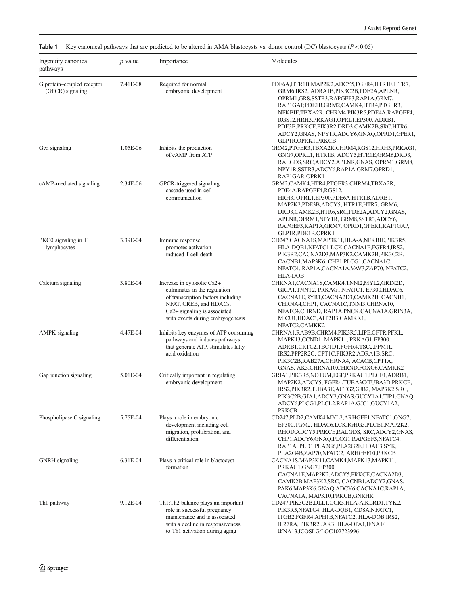| Ingenuity canonical<br>pathways                | $p$ value | Importance                                                                                                                                                                                     | Molecules                                                                                                                                                                                                                                                                                                                                                                  |
|------------------------------------------------|-----------|------------------------------------------------------------------------------------------------------------------------------------------------------------------------------------------------|----------------------------------------------------------------------------------------------------------------------------------------------------------------------------------------------------------------------------------------------------------------------------------------------------------------------------------------------------------------------------|
| G protein-coupled receptor<br>(GPCR) signaling | 7.41E-08  | Required for normal<br>embryonic development                                                                                                                                                   | PDE6A, HTR1B, MAP2K2, ADCY5, FGFR4, HTR1E, HTR7,<br>GRM6,IRS2, ADRA1B,PIK3C2B,PDE2A,APLNR,<br>OPRM1, GR8, SSTR3, RAPGEF3, RAP1A, GRM7,<br>RAP1GAP,PDE1B,GRM2,CAMK4,HTR4,PTGER3,<br>NFKBIE,TBXA2R, CHRM4,PIK3R5,PDE4A,RAPGEF4,<br>RGS12,HRH3,PRKAG1,OPRL1,EP300, ADRB1,<br>PDE3B, PRKCE, PIK3R2, DRD3, CAMK2B, SRC, HTR6,<br>ADCY2, GNAS, NPY1R, ADCY6, GNAQ, OPRD1, GPER1, |
| $G\alpha i$ signaling                          | 1.05E-06  | Inhibits the production<br>of cAMP from ATP                                                                                                                                                    | GLP1R,OPRK1,PRKCB<br>GRM2,PTGER3,TBXA2R,CHRM4,RGS12,HRH3,PRKAG1,<br>GNG7, OPRL1, HTR1B, ADCY5, HTR1E, GRM6, DRD3,<br>RALGDS, SRC, ADCY2, APLNR, GNAS, OPRM1, GRM8,<br>NPY1R,SSTR3,ADCY6,RAP1A,GRM7,OPRD1,<br>RAP1GAP, OPRK1                                                                                                                                                |
| cAMP-mediated signaling                        | 2.34E-06  | GPCR-triggered signaling<br>cascade used in cell<br>communication                                                                                                                              | GRM2,CAMK4,HTR4,PTGER3,CHRM4,TBXA2R,<br>PDE4A,RAPGEF4,RGS12,<br>HRH3, OPRL1, EP300, PDE6A, HTR1B, ADRB1,<br>MAP2K2, PDE3B, ADCY5, HTR1E, HTR7, GRM6,<br>DRD3,CAMK2B,HTR6,SRC,PDE2A,ADCY2,GNAS,<br>APLNR, OPRM1, NPY1R, GRM8, SSTR3, ADCY6,<br>RAPGEF3, RAP1A, GRM7, OPRD1, GPER1, RAP1GAP,                                                                                 |
| PKCθ signaling in T<br>lymphocytes             | 3.39E-04  | Immune response,<br>promotes activation-<br>induced T cell death                                                                                                                               | GLP1R,PDE1B,OPRK1<br>CD247,CACNA1S,MAP3K11,HLA-A,NFKBIE,PIK3R5,<br>HLA-DQB1,NFATC1,LCK,CACNA1E,FGFR4,IRS2,<br>PIK3R2,CACNA2D3,MAP3K2,CAMK2B,PIK3C2B,<br>CACNB1, MAP3K6, CHP1, PLCG1, CACNA1C,<br>NFATC4, RAP1A,CACNA1A,VAV3,ZAP70, NFATC2,                                                                                                                                 |
| Calcium signaling                              | 3.80E-04  | Increase in cytosolic Ca2+<br>culminates in the regulation<br>of transcription factors including<br>NFAT, CREB, and HDACs.<br>Ca2+ signaling is associated<br>with events during embryogenesis | HLA-DOB<br>CHRNA1,CACNA1S,CAMK4,TNNI2,MYL2,GRIN2D,<br>GRIA1, TNNT2, PRKAG1, NFATC1, EP300, HDAC6,<br>CACNA1E,RYR1,CACNA2D3,CAMK2B, CACNB1,<br>CHRNA4,CHP1, CACNA1C,TNNI3,CHRNA10,<br>NFATC4,CHRND, RAP1A,PNCK,CACNA1A,GRIN3A,<br>MICU1,HDAC3,ATP2B3,CAMKK1,                                                                                                                |
| AMPK signaling                                 | 4.47E-04  | Inhibits key enzymes of ATP consuming<br>pathways and induces pathways<br>that generate ATP, stimulates fatty<br>acid oxidation                                                                | NFATC2,CAMKK2<br>CHRNA1,RAB9B,CHRM4,PIK3R5,LIPE,CFTR,PFKL,<br>MAPK13,CCND1, MAPK11, PRKAG1,EP300,<br>ADRB1,CRTC2,TBC1D1,FGFR4,TSC2,PPM1L,<br>IRS2, PPP2R2C, CPT1C, PIK3R2, ADRA1B, SRC,<br>PIK3C2B,RAB27A,CHRNA4, ACACB,CPT1A,                                                                                                                                             |
| Gap junction signaling                         | 5.01E-04  | Critically important in regulating<br>embryonic development                                                                                                                                    | GNAS, AK3,CHRNA10,CHRND,FOXO6,CAMKK2<br>GRIA1, PIK3R5, NOTUM, EGF, PRKAG1, PLCE1, ADRB1,<br>MAP2K2,ADCY5, FGFR4,TUBA3C/TUBA3D,PRKCE,<br>IRS2, PIK3R2, TUBA3E, ACTG2, GJB2, MAP3K2, SRC,<br>PIK3C2B,GJA1,ADCY2,GNAS,GUCY1A1,TJP1,GNAQ,<br>ADCY6,PLCG1,PLCL2,RAP1A,GJC1,GUCY1A2,                                                                                             |
| Phospholipase C signaling                      | 5.75E-04  | Plays a role in embryonic<br>development including cell<br>migration, proliferation, and<br>differentiation                                                                                    | PRKCB<br>CD247, PLD2, CAMK4, MYL2, ARHGEF1, NFATC1, GNG7,<br>EP300,TGM2, HDAC6,LCK,IGHG3,PLCE1,MAP2K2,<br>RHOD,ADCY5,PRKCE,RALGDS, SRC,ADCY2,GNAS,<br>CHP1,ADCY6,GNAQ,PLCG1,RAPGEF3,NFATC4,<br>RAP1A, PLD1,PLA2G6,PLA2G2E,HDAC3,SYK,                                                                                                                                       |
| <b>GNRH</b> signaling                          | 6.31E-04  | Plays a critical role in blastocyst<br>formation                                                                                                                                               | PLA2G4B,ZAP70,NFATC2, ARHGEF10,PRKCB<br>CACNA1S, MAP3K11, CAMK4, MAPK13, MAPK11,<br>PRKAG1,GNG7,EP300,<br>CACNA1E,MAP2K2,ADCY5,PRKCE,CACNA2D3,<br>CAMK2B,MAP3K2,SRC, CACNB1,ADCY2,GNAS,<br>PAK6, MAP3K6, GNAQ, ADCY6, CACNA1C, RAP1A,<br>CACNA1A, MAPK10,PRKCB,GNRHR                                                                                                       |
| Th1 pathway                                    | 9.12E-04  | Th1:Th2 balance plays an important<br>role in successful pregnancy<br>maintenance and is associated<br>with a decline in responsiveness<br>to Th1 activation during aging                      | CD247,PIK3C2B,DLL1,CCR5,HLA-A,KLRD1,TYK2,<br>PIK3R5,NFATC4, HLA-DQB1, CD8A,NFATC1,<br>ITGB2,FGFR4,APH1B,NFATC2, HLA-DOB,IRS2,<br>IL27RA, PIK3R2,JAK3, HLA-DPA1,IFNA1/<br>IFNA13,ICOSLG/LOC102723996                                                                                                                                                                        |

<span id="page-6-0"></span>Table 1 Key canonical pathways that are predicted to be altered in AMA blastocysts vs. donor control (DC) blastocysts  $(P < 0.05)$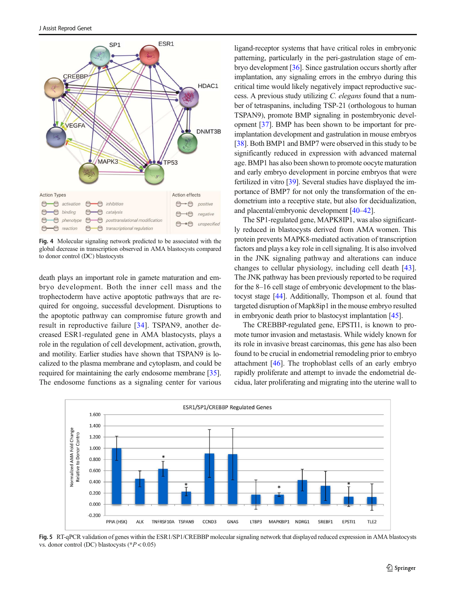<span id="page-7-0"></span>

Fig. 4 Molecular signaling network predicted to be associated with the global decrease in transcription observed in AMA blastocysts compared to donor control (DC) blastocysts

death plays an important role in gamete maturation and embryo development. Both the inner cell mass and the trophectoderm have active apoptotic pathways that are required for ongoing, successful development. Disruptions to the apoptotic pathway can compromise future growth and result in reproductive failure [[34\]](#page-8-0). TSPAN9, another decreased ESR1-regulated gene in AMA blastocysts, plays a role in the regulation of cell development, activation, growth, and motility. Earlier studies have shown that TSPAN9 is localized to the plasma membrane and cytoplasm, and could be required for maintaining the early endosome membrane [[35\]](#page-8-0). The endosome functions as a signaling center for various

ligand-receptor systems that have critical roles in embryonic patterning, particularly in the peri-gastrulation stage of embryo development [[36](#page-8-0)]. Since gastrulation occurs shortly after implantation, any signaling errors in the embryo during this critical time would likely negatively impact reproductive success. A previous study utilizing C. elegans found that a number of tetraspanins, including TSP-21 (orthologous to human TSPAN9), promote BMP signaling in postembryonic development [[37](#page-8-0)]. BMP has been shown to be important for preimplantation development and gastrulation in mouse embryos [\[38](#page-8-0)]. Both BMP1 and BMP7 were observed in this study to be significantly reduced in expression with advanced maternal age. BMP1 has also been shown to promote oocyte maturation and early embryo development in porcine embryos that were fertilized in vitro [\[39\]](#page-8-0). Several studies have displayed the importance of BMP7 for not only the transformation of the endometrium into a receptive state, but also for decidualization, and placental/embryonic development [\[40](#page-8-0)–[42\]](#page-8-0).

The SP1-regulated gene, MAPK8IP1, was also significantly reduced in blastocysts derived from AMA women. This protein prevents MAPK8-mediated activation of transcription factors and plays a key role in cell signaling. It is also involved in the JNK signaling pathway and alterations can induce changes to cellular physiology, including cell death [\[43](#page-8-0)]. The JNK pathway has been previously reported to be required for the 8–16 cell stage of embryonic development to the blastocyst stage [[44\]](#page-8-0). Additionally, Thompson et al. found that targeted disruption of Mapk8ip1 in the mouse embryo resulted in embryonic death prior to blastocyst implantation [\[45](#page-8-0)].

The CREBBP-regulated gene, EPSTI1, is known to promote tumor invasion and metastasis. While widely known for its role in invasive breast carcinomas, this gene has also been found to be crucial in endometrial remodeling prior to embryo attachment [\[46](#page-8-0)]. The trophoblast cells of an early embryo rapidly proliferate and attempt to invade the endometrial decidua, later proliferating and migrating into the uterine wall to



Fig. 5 RT-qPCR validation of genes within the ESR1/SP1/CREBBP molecular signaling network that displayed reduced expression in AMA blastocysts vs. donor control (DC) blastocysts ( $P < 0.05$ )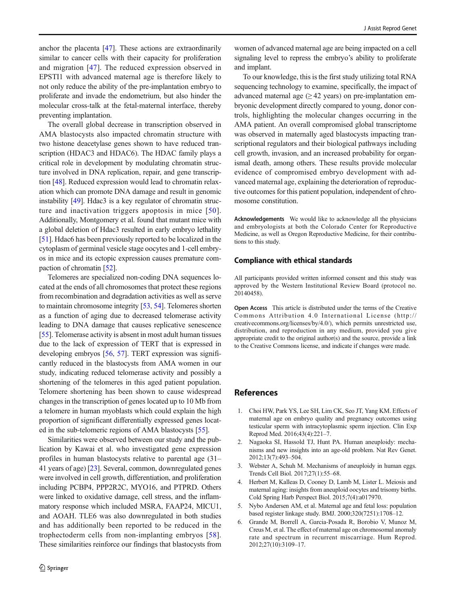<span id="page-8-0"></span>anchor the placenta [47]. These actions are extraordinarily similar to cancer cells with their capacity for proliferation and migration [47]. The reduced expression observed in EPSTI1 with advanced maternal age is therefore likely to not only reduce the ability of the pre-implantation embryo to proliferate and invade the endometrium, but also hinder the molecular cross-talk at the fetal-maternal interface, thereby preventing implantation.

The overall global decrease in transcription observed in AMA blastocysts also impacted chromatin structure with two histone deacetylase genes shown to have reduced transcription (HDAC3 and HDAC6). The HDAC family plays a critical role in development by modulating chromatin structure involved in DNA replication, repair, and gene transcription [[48](#page-9-0)]. Reduced expression would lead to chromatin relaxation which can promote DNA damage and result in genomic instability [[49](#page-9-0)]. Hdac3 is a key regulator of chromatin structure and inactivation triggers apoptosis in mice [[50](#page-9-0)]. Additionally, Montgomery et al. found that mutant mice with a global deletion of Hdac3 resulted in early embryo lethality [\[51\]](#page-9-0). Hdac6 has been previously reported to be localized in the cytoplasm of germinal vesicle stage oocytes and 1-cell embryos in mice and its ectopic expression causes premature compaction of chromatin [[52\]](#page-9-0).

Telomeres are specialized non-coding DNA sequences located at the ends of all chromosomes that protect these regions from recombination and degradation activities as well as serve to maintain chromosome integrity [[53](#page-9-0), [54\]](#page-9-0). Telomeres shorten as a function of aging due to decreased telomerase activity leading to DNA damage that causes replicative senescence [\[55\]](#page-9-0). Telomerase activity is absent in most adult human tissues due to the lack of expression of TERT that is expressed in developing embryos [\[56](#page-9-0), [57\]](#page-9-0). TERT expression was significantly reduced in the blastocysts from AMA women in our study, indicating reduced telomerase activity and possibly a shortening of the telomeres in this aged patient population. Telomere shortening has been shown to cause widespread changes in the transcription of genes located up to 10 Mb from a telomere in human myoblasts which could explain the high proportion of significant differentially expressed genes located in the sub-telomeric regions of AMA blastocysts [[55](#page-9-0)].

Similarities were observed between our study and the publication by Kawai et al. who investigated gene expression profiles in human blastocysts relative to parental age (31– 41 years of age) [23]. Several, common, downregulated genes were involved in cell growth, differentiation, and proliferation including PCBP4, PPP2R2C, MYO16, and PTPRD. Others were linked to oxidative damage, cell stress, and the inflammatory response which included MSRA, FAAP24, MICU1, and AOAH. TLE6 was also downregulated in both studies and has additionally been reported to be reduced in the trophectoderm cells from non-implanting embryos [[58](#page-9-0)]. These similarities reinforce our findings that blastocysts from

women of advanced maternal age are being impacted on a cell signaling level to repress the embryo's ability to proliferate and implant.

To our knowledge, this is the first study utilizing total RNA sequencing technology to examine, specifically, the impact of advanced maternal age  $(≥ 42$  years) on pre-implantation embryonic development directly compared to young, donor controls, highlighting the molecular changes occurring in the AMA patient. An overall compromised global transcriptome was observed in maternally aged blastocysts impacting transcriptional regulators and their biological pathways including cell growth, invasion, and an increased probability for organismal death, among others. These results provide molecular evidence of compromised embryo development with advanced maternal age, explaining the deterioration of reproductive outcomes for this patient population, independent of chromosome constitution.

Acknowledgements We would like to acknowledge all the physicians and embryologists at both the Colorado Center for Reproductive Medicine, as well as Oregon Reproductive Medicine, for their contributions to this study.

#### Compliance with ethical standards

All participants provided written informed consent and this study was approved by the Western Institutional Review Board (protocol no. 20140458).

Open Access This article is distributed under the terms of the Creative Commons Attribution 4.0 International License (http:// creativecommons.org/licenses/by/4.0/), which permits unrestricted use, distribution, and reproduction in any medium, provided you give appropriate credit to the original author(s) and the source, provide a link to the Creative Commons license, and indicate if changes were made.

#### **References**

- 1. Choi HW, Park YS, Lee SH, Lim CK, Seo JT, Yang KM. Effects of maternal age on embryo quality and pregnancy outcomes using testicular sperm with intracytoplasmic sperm injection. Clin Exp Reprod Med. 2016;43(4):221–7.
- 2. Nagaoka SI, Hassold TJ, Hunt PA. Human aneuploidy: mechanisms and new insights into an age-old problem. Nat Rev Genet. 2012;13(7):493–504.
- 3. Webster A, Schuh M. Mechanisms of aneuploidy in human eggs. Trends Cell Biol. 2017;27(1):55–68.
- 4. Herbert M, Kalleas D, Cooney D, Lamb M, Lister L. Meiosis and maternal aging: insights from aneuploid oocytes and trisomy births. Cold Spring Harb Perspect Biol. 2015;7(4):a017970.
- 5. Nybo Andersen AM, et al. Maternal age and fetal loss: population based register linkage study. BMJ. 2000;320(7251):1708–12.
- 6. Grande M, Borrell A, Garcia-Posada R, Borobio V, Munoz M, Creus M, et al. The effect of maternal age on chromosomal anomaly rate and spectrum in recurrent miscarriage. Hum Reprod. 2012;27(10):3109–17.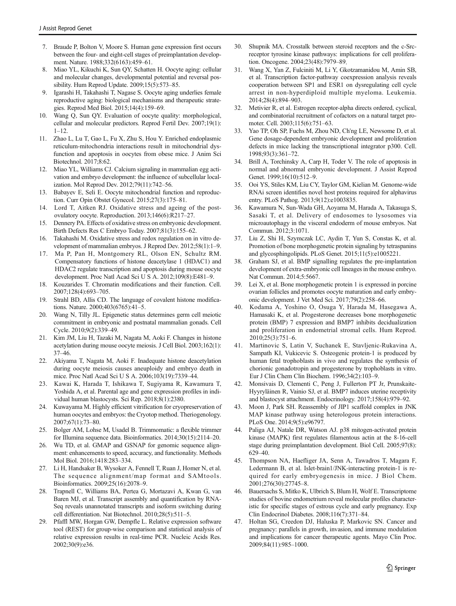- <span id="page-9-0"></span>7. Braude P, Bolton V, Moore S. Human gene expression first occurs between the four- and eight-cell stages of preimplantation development. Nature. 1988;332(6163):459–61.
- 8. Miao YL, Kikuchi K, Sun QY, Schatten H. Oocyte aging: cellular and molecular changes, developmental potential and reversal possibility. Hum Reprod Update. 2009;15(5):573–85.
- 9. Igarashi H, Takahashi T, Nagase S. Oocyte aging underlies female reproductive aging: biological mechanisms and therapeutic strategies. Reprod Med Biol. 2015;14(4):159–69.
- 10. Wang Q, Sun QY. Evaluation of oocyte quality: morphological, cellular and molecular predictors. Reprod Fertil Dev. 2007;19(1):  $1 - 12$ .
- 11. Zhao L, Lu T, Gao L, Fu X, Zhu S, Hou Y. Enriched endoplasmic reticulum-mitochondria interactions result in mitochondrial dysfunction and apoptosis in oocytes from obese mice. J Anim Sci Biotechnol. 2017;8:62.
- 12. Miao YL, Williams CJ. Calcium signaling in mammalian egg activation and embryo development: the influence of subcellular localization. Mol Reprod Dev. 2012;79(11):742–56.
- 13. Babayev E, Seli E. Oocyte mitochondrial function and reproduction. Curr Opin Obstet Gynecol. 2015;27(3):175–81.
- 14. Lord T, Aitken RJ. Oxidative stress and ageing of the postovulatory oocyte. Reproduction. 2013;146(6):R217–27.
- 15. Dennery PA. Effects of oxidative stress on embryonic development. Birth Defects Res C Embryo Today. 2007;81(3):155–62.
- 16. Takahashi M. Oxidative stress and redox regulation on in vitro development of mammalian embryos. J Reprod Dev. 2012;58(1):1–9.
- 17. Ma P, Pan H, Montgomery RL, Olson EN, Schultz RM. Compensatory functions of histone deacetylase 1 (HDAC1) and HDAC2 regulate transcription and apoptosis during mouse oocyte development. Proc Natl Acad Sci U S A. 2012;109(8):E481–9.
- 18. Kouzarides T. Chromatin modifications and their function. Cell. 2007;128(4):693–705.
- 19. Strahl BD, Allis CD. The language of covalent histone modifications. Nature. 2000;403(6765):41–5.
- 20. Wang N, Tilly JL. Epigenetic status determines germ cell meiotic commitment in embryonic and postnatal mammalian gonads. Cell Cycle. 2010;9(2):339–49.
- 21. Kim JM, Liu H, Tazaki M, Nagata M, Aoki F. Changes in histone acetylation during mouse oocyte meiosis. J Cell Biol. 2003;162(1): 37–46.
- 22. Akiyama T, Nagata M, Aoki F. Inadequate histone deacetylation during oocyte meiosis causes aneuploidy and embryo death in mice. Proc Natl Acad Sci U S A. 2006;103(19):7339–44.
- 23. Kawai K, Harada T, Ishikawa T, Sugiyama R, Kawamura T, Yoshida A, et al. Parental age and gene expression profiles in individual human blastocysts. Sci Rep. 2018;8(1):2380.
- 24. Kuwayama M. Highly efficient vitrification for cryopreservation of human oocytes and embryos: the Cryotop method. Theriogenology. 2007;67(1):73–80.
- 25. Bolger AM, Lohse M, Usadel B. Trimmomatic: a flexible trimmer for Illumina sequence data. Bioinformatics. 2014;30(15):2114–20.
- 26. Wu TD, et al. GMAP and GSNAP for genomic sequence alignment: enhancements to speed, accuracy, and functionality. Methods Mol Biol. 2016;1418:283–334.
- 27. Li H, Handsaker B, Wysoker A, Fennell T, Ruan J, Homer N, et al. The sequence alignment/map format and SAMtools. Bioinformatics. 2009;25(16):2078–9.
- 28. Trapnell C, Williams BA, Pertea G, Mortazavi A, Kwan G, van Baren MJ, et al. Transcript assembly and quantification by RNA-Seq reveals unannotated transcripts and isoform switching during cell differentiation. Nat Biotechnol. 2010;28(5):511–5.
- 29. Pfaffl MW, Horgan GW, Dempfle L. Relative expression software tool (REST) for group-wise comparison and statistical analysis of relative expression results in real-time PCR. Nucleic Acids Res. 2002;30(9):e36.
- 30. Shupnik MA. Crosstalk between steroid receptors and the c-Srcreceptor tyrosine kinase pathways: implications for cell proliferation. Oncogene. 2004;23(48):7979–89.
- 31. Wang X, Yan Z, Fulciniti M, Li Y, Gkotzamanidou M, Amin SB, et al. Transcription factor-pathway coexpression analysis reveals cooperation between SP1 and ESR1 on dysregulating cell cycle arrest in non-hyperdiploid multiple myeloma. Leukemia. 2014;28(4):894–903.
- 32. Metivier R, et al. Estrogen receptor-alpha directs ordered, cyclical, and combinatorial recruitment of cofactors on a natural target promoter. Cell. 2003;115(6):751–63.
- Yao TP, Oh SP, Fuchs M, Zhou ND, Ch'ng LE, Newsome D, et al. Gene dosage-dependent embryonic development and proliferation defects in mice lacking the transcriptional integrator p300. Cell. 1998;93(3):361–72.
- 34. Brill A, Torchinsky A, Carp H, Toder V. The role of apoptosis in normal and abnormal embryonic development. J Assist Reprod Genet. 1999;16(10):512-9.
- 35. Ooi YS, Stiles KM, Liu CY, Taylor GM, Kielian M. Genome-wide RNAi screen identifies novel host proteins required for alphavirus entry. PLoS Pathog. 2013;9(12):e1003835.
- 36. Kawamura N, Sun-Wada GH, Aoyama M, Harada A, Takasuga S, Sasaki T, et al. Delivery of endosomes to lysosomes via microautophagy in the visceral endoderm of mouse embryos. Nat Commun. 2012;3:1071.
- 37. Liu Z, Shi H, Szymczak LC, Aydin T, Yun S, Constas K, et al. Promotion of bone morphogenetic protein signaling by tetraspanins and glycosphingolipids. PLoS Genet. 2015;11(5):e1005221.
- 38. Graham SJ, et al. BMP signalling regulates the pre-implantation development of extra-embryonic cell lineages in the mouse embryo. Nat Commun. 2014;5:5667.
- 39. Lei X, et al. Bone morphogenetic protein 1 is expressed in porcine ovarian follicles and promotes oocyte maturation and early embryonic development. J Vet Med Sci. 2017;79(2):258–66.
- 40. Kodama A, Yoshino O, Osuga Y, Harada M, Hasegawa A, Hamasaki K, et al. Progesterone decreases bone morphogenetic protein (BMP) 7 expression and BMP7 inhibits decidualization and proliferation in endometrial stromal cells. Hum Reprod. 2010;25(3):751–6.
- 41. Martinovic S, Latin V, Suchanek E, Stavljenic-Rukavina A, Sampath KI, Vukicevic S. Osteogenic protein-1 is produced by human fetal trophoblasts in vivo and regulates the synthesis of chorionic gonadotropin and progesterone by trophoblasts in vitro. Eur J Clin Chem Clin Biochem. 1996;34(2):103–9.
- 42. Monsivais D, Clementi C, Peng J, Fullerton PT Jr, Prunskaite-Hyyryläinen R, Vainio SJ, et al. BMP7 induces uterine receptivity and blastocyst attachment. Endocrinology. 2017;158(4):979–92.
- 43. Moon J, Park SH. Reassembly of JIP1 scaffold complex in JNK MAP kinase pathway using heterologous protein interactions. PLoS One. 2014;9(5):e96797.
- 44. Paliga AJ, Natale DR, Watson AJ. p38 mitogen-activated protein kinase (MAPK) first regulates filamentous actin at the 8-16-cell stage during preimplantation development. Biol Cell. 2005;97(8): 629–40.
- 45. Thompson NA, Haefliger JA, Senn A, Tawadros T, Magara F, Ledermann B, et al. Islet-brain1/JNK-interacting protein-1 is required for early embryogenesis in mice. J Biol Chem. 2001;276(30):27745–8.
- 46. Bauersachs S, Mitko K, Ulbrich S, Blum H, Wolf E. Transcriptome studies of bovine endometrium reveal molecular profiles characteristic for specific stages of estrous cycle and early pregnancy. Exp Clin Endocrinol Diabetes. 2008;116(7):371–84.
- 47. Holtan SG, Creedon DJ, Haluska P, Markovic SN. Cancer and pregnancy: parallels in growth, invasion, and immune modulation and implications for cancer therapeutic agents. Mayo Clin Proc. 2009;84(11):985–1000.